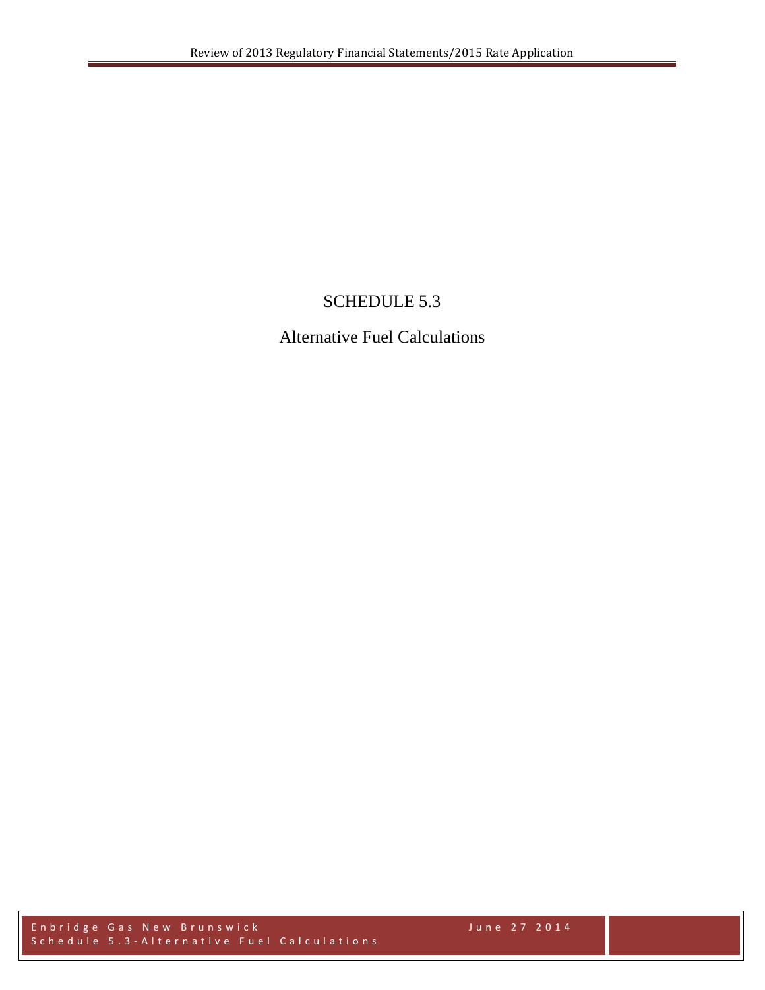## SCHEDULE 5.3

## Alternative Fuel Calculations

Enbridge Gas New Brunswick June 27 2014 Schedule 5.3 - Alternative Fuel Calculations